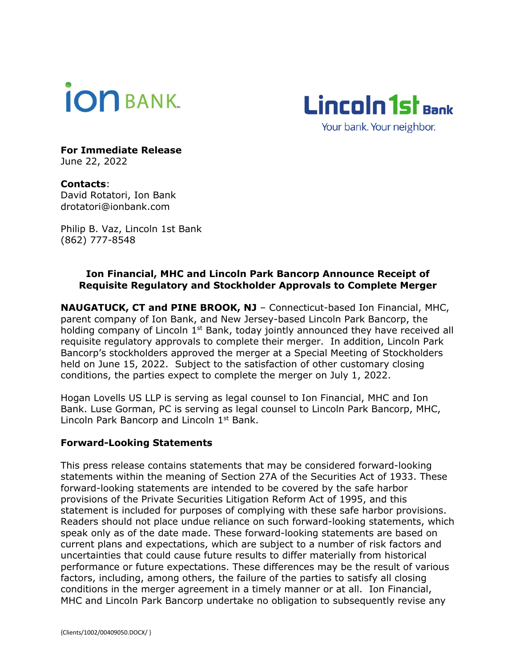



**For Immediate Release** June 22, 2022

**Contacts**: David Rotatori, Ion Bank drotatori@ionbank.com

Philip B. Vaz, Lincoln 1st Bank (862) 777-8548

## **Ion Financial, MHC and Lincoln Park Bancorp Announce Receipt of Requisite Regulatory and Stockholder Approvals to Complete Merger**

**NAUGATUCK, CT and PINE BROOK, NJ** – Connecticut-based Ion Financial, MHC, parent company of Ion Bank, and New Jersey-based Lincoln Park Bancorp, the holding company of Lincoln 1<sup>st</sup> Bank, today jointly announced they have received all requisite regulatory approvals to complete their merger. In addition, Lincoln Park Bancorp's stockholders approved the merger at a Special Meeting of Stockholders held on June 15, 2022. Subject to the satisfaction of other customary closing conditions, the parties expect to complete the merger on July 1, 2022.

Hogan Lovells US LLP is serving as legal counsel to Ion Financial, MHC and Ion Bank. Luse Gorman, PC is serving as legal counsel to Lincoln Park Bancorp, MHC, Lincoln Park Bancorp and Lincoln 1<sup>st</sup> Bank.

## **Forward-Looking Statements**

This press release contains statements that may be considered forward-looking statements within the meaning of Section 27A of the Securities Act of 1933. These forward-looking statements are intended to be covered by the safe harbor provisions of the Private Securities Litigation Reform Act of 1995, and this statement is included for purposes of complying with these safe harbor provisions. Readers should not place undue reliance on such forward-looking statements, which speak only as of the date made. These forward-looking statements are based on current plans and expectations, which are subject to a number of risk factors and uncertainties that could cause future results to differ materially from historical performance or future expectations. These differences may be the result of various factors, including, among others, the failure of the parties to satisfy all closing conditions in the merger agreement in a timely manner or at all. Ion Financial, MHC and Lincoln Park Bancorp undertake no obligation to subsequently revise any